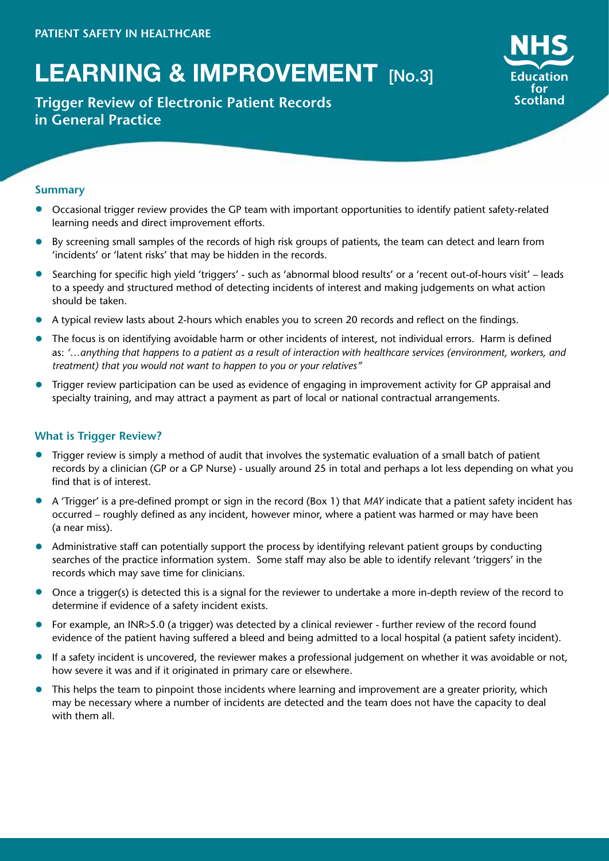# **LEARNING & IMPROVEMENT** [No.3]

## **Trigger Review of Electronic Patient Records in General Practice**



### **Summary**

- Occasional trigger review provides the GP team with important opportunities to identify patient safety-related learning needs and direct improvement efforts.
- By screening small samples of the records of high risk groups of patients, the team can detect and learn from 'incidents' or 'latent risks' that may be hidden in the records.
- Searching for specific high yield 'triggers' such as 'abnormal blood results' or a 'recent out-of-hours visit' leads to a speedy and structured method of detecting incidents of interest and making judgements on what action should be taken.
- A typical review lasts about 2-hours which enables you to screen 20 records and reflect on the findings.
- The focus is on identifying avoidable harm or other incidents of interest, not individual errors. Harm is defined as: *'…anything that happens to a patient as a result of interaction with healthcare services (environment, workers, and treatment) that you would not want to happen to you or your relatives"*
- Trigger review participation can be used as evidence of engaging in improvement activity for GP appraisal and specialty training, and may attract a payment as part of local or national contractual arrangements.

## **What is Trigger Review?**

- Trigger review is simply a method of audit that involves the systematic evaluation of a small batch of patient records by a clinician (GP or a GP Nurse) - usually around 25 in total and perhaps a lot less depending on what you find that is of interest.
- A 'Trigger' is a pre-defined prompt or sign in the record (Box 1) that *MAY* indicate that a patient safety incident has occurred – roughly defined as any incident, however minor, where a patient was harmed or may have been (a near miss).
- Administrative staff can potentially support the process by identifying relevant patient groups by conducting searches of the practice information system. Some staff may also be able to identify relevant 'triggers' in the records which may save time for clinicians.
- Once a trigger(s) is detected this is a signal for the reviewer to undertake a more in-depth review of the record to determine if evidence of a safety incident exists.
- For example, an INR>5.0 (a trigger) was detected by a clinical reviewer further review of the record found evidence of the patient having suffered a bleed and being admitted to a local hospital (a patient safety incident).
- If a safety incident is uncovered, the reviewer makes a professional judgement on whether it was avoidable or not, how severe it was and if it originated in primary care or elsewhere.
- This helps the team to pinpoint those incidents where learning and improvement are a greater priority, which may be necessary where a number of incidents are detected and the team does not have the capacity to deal with them all.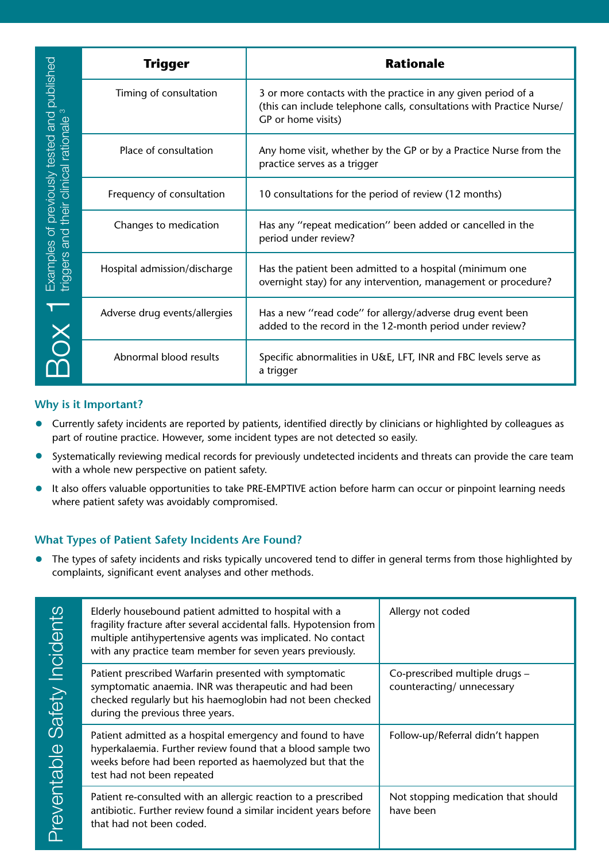| Examples of previously tested and published<br>triggers and their clinical rationale <sup>3</sup><br>BOX <sup>1</sup>                                                                                                                                                                                                                                                                                                                                                                                                                                                                                                                                                                                                                                                                                           | Trigger                                                                                                                                                                                                                                                   | <b>Rationale</b>                                                                                                                                             |                                                              |  |  |
|-----------------------------------------------------------------------------------------------------------------------------------------------------------------------------------------------------------------------------------------------------------------------------------------------------------------------------------------------------------------------------------------------------------------------------------------------------------------------------------------------------------------------------------------------------------------------------------------------------------------------------------------------------------------------------------------------------------------------------------------------------------------------------------------------------------------|-----------------------------------------------------------------------------------------------------------------------------------------------------------------------------------------------------------------------------------------------------------|--------------------------------------------------------------------------------------------------------------------------------------------------------------|--------------------------------------------------------------|--|--|
|                                                                                                                                                                                                                                                                                                                                                                                                                                                                                                                                                                                                                                                                                                                                                                                                                 | Timing of consultation                                                                                                                                                                                                                                    | 3 or more contacts with the practice in any given period of a<br>(this can include telephone calls, consultations with Practice Nurse/<br>GP or home visits) |                                                              |  |  |
|                                                                                                                                                                                                                                                                                                                                                                                                                                                                                                                                                                                                                                                                                                                                                                                                                 | Place of consultation                                                                                                                                                                                                                                     | Any home visit, whether by the GP or by a Practice Nurse from the<br>practice serves as a trigger                                                            |                                                              |  |  |
|                                                                                                                                                                                                                                                                                                                                                                                                                                                                                                                                                                                                                                                                                                                                                                                                                 | Frequency of consultation                                                                                                                                                                                                                                 | 10 consultations for the period of review (12 months)                                                                                                        |                                                              |  |  |
|                                                                                                                                                                                                                                                                                                                                                                                                                                                                                                                                                                                                                                                                                                                                                                                                                 | Changes to medication                                                                                                                                                                                                                                     | Has any "repeat medication" been added or cancelled in the<br>period under review?                                                                           |                                                              |  |  |
|                                                                                                                                                                                                                                                                                                                                                                                                                                                                                                                                                                                                                                                                                                                                                                                                                 | Hospital admission/discharge                                                                                                                                                                                                                              | Has the patient been admitted to a hospital (minimum one<br>overnight stay) for any intervention, management or procedure?                                   |                                                              |  |  |
|                                                                                                                                                                                                                                                                                                                                                                                                                                                                                                                                                                                                                                                                                                                                                                                                                 | Adverse drug events/allergies                                                                                                                                                                                                                             | Has a new "read code" for allergy/adverse drug event been<br>added to the record in the 12-month period under review?                                        |                                                              |  |  |
|                                                                                                                                                                                                                                                                                                                                                                                                                                                                                                                                                                                                                                                                                                                                                                                                                 | Abnormal blood results                                                                                                                                                                                                                                    | Specific abnormalities in U&E, LFT, INR and FBC levels serve as<br>a trigger                                                                                 |                                                              |  |  |
| Currently safety incidents are reported by patients, identified directly by clinicians or highlighted by colleagues as<br>part of routine practice. However, some incident types are not detected so easily.<br>Systematically reviewing medical records for previously undetected incidents and threats can provide the care team<br>with a whole new perspective on patient safety.<br>It also offers valuable opportunities to take PRE-EMPTIVE action before harm can occur or pinpoint learning needs<br>where patient safety was avoidably compromised.<br><b>Vhat Types of Patient Safety Incidents Are Found?</b><br>The types of safety incidents and risks typically uncovered tend to differ in general terms from those highlighted by<br>complaints, significant event analyses and other methods. |                                                                                                                                                                                                                                                           |                                                                                                                                                              |                                                              |  |  |
| <b>Preventable Safety Incidents</b>                                                                                                                                                                                                                                                                                                                                                                                                                                                                                                                                                                                                                                                                                                                                                                             | Elderly housebound patient admitted to hospital with a<br>fragility fracture after several accidental falls. Hypotension from<br>multiple antihypertensive agents was implicated. No contact<br>with any practice team member for seven years previously. |                                                                                                                                                              | Allergy not coded                                            |  |  |
|                                                                                                                                                                                                                                                                                                                                                                                                                                                                                                                                                                                                                                                                                                                                                                                                                 | Patient prescribed Warfarin presented with symptomatic<br>symptomatic anaemia. INR was therapeutic and had been<br>checked regularly but his haemoglobin had not been checked<br>during the previous three years.                                         |                                                                                                                                                              | Co-prescribed multiple drugs -<br>counteracting/ unnecessary |  |  |
|                                                                                                                                                                                                                                                                                                                                                                                                                                                                                                                                                                                                                                                                                                                                                                                                                 | Patient admitted as a hospital emergency and found to have<br>hyperkalaemia. Further review found that a blood sample two<br>weeks before had been reported as haemolyzed but that the<br>test had not been repeated                                      |                                                                                                                                                              | Follow-up/Referral didn't happen                             |  |  |
|                                                                                                                                                                                                                                                                                                                                                                                                                                                                                                                                                                                                                                                                                                                                                                                                                 | Patient re-consulted with an allergic reaction to a prescribed<br>antibiotic. Further review found a similar incident years before<br>that had not been coded.                                                                                            |                                                                                                                                                              | Not stopping medication that should<br>have been             |  |  |

## **Why is it Important?**

- Currently safety incidents are reported by patients, identified directly by clinicians or highlighted by colleagues as part of routine practice. However, some incident types are not detected so easily.
- Systematically reviewing medical records for previously undetected incidents and threats can provide the care team with a whole new perspective on patient safety.
- It also offers valuable opportunities to take PRE-EMPTIVE action before harm can occur or pinpoint learning needs where patient safety was avoidably compromised.

## **What Types of Patient Safety Incidents Are Found?**

| Safety Incidents<br>Preventable | Elderly housebound patient admitted to hospital with a<br>fragility fracture after several accidental falls. Hypotension from<br>multiple antihypertensive agents was implicated. No contact<br>with any practice team member for seven years previously. | Allergy not coded                                            |
|---------------------------------|-----------------------------------------------------------------------------------------------------------------------------------------------------------------------------------------------------------------------------------------------------------|--------------------------------------------------------------|
|                                 | Patient prescribed Warfarin presented with symptomatic<br>symptomatic anaemia. INR was therapeutic and had been<br>checked regularly but his haemoglobin had not been checked<br>during the previous three years.                                         | Co-prescribed multiple drugs -<br>counteracting/ unnecessary |
|                                 | Patient admitted as a hospital emergency and found to have<br>hyperkalaemia. Further review found that a blood sample two<br>weeks before had been reported as haemolyzed but that the<br>test had not been repeated                                      | Follow-up/Referral didn't happen                             |
|                                 | Patient re-consulted with an allergic reaction to a prescribed<br>antibiotic. Further review found a similar incident years before<br>that had not been coded.                                                                                            | Not stopping medication that should<br>have been             |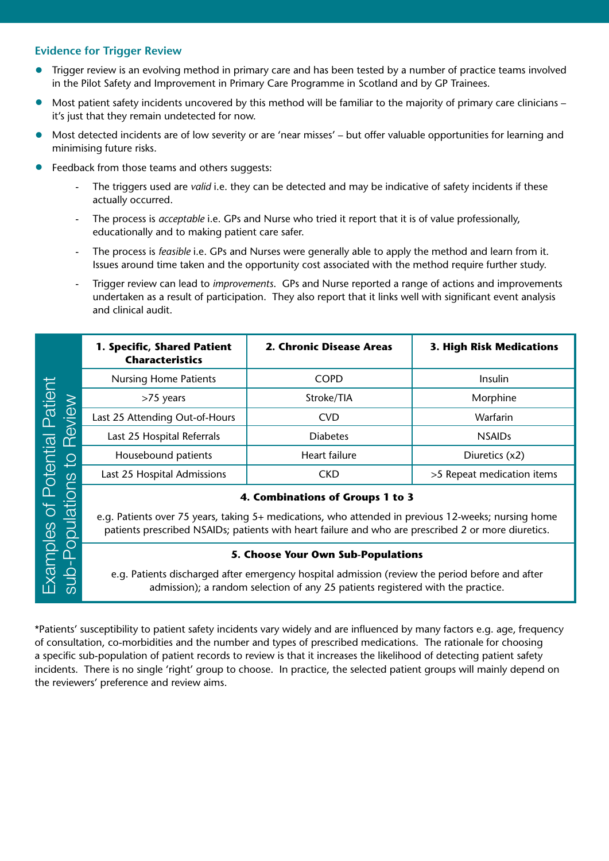## **Evidence for Trigger Review**

- Trigger review is an evolving method in primary care and has been tested by a number of practice teams involved in the Pilot Safety and Improvement in Primary Care Programme in Scotland and by GP Trainees.
- Most patient safety incidents uncovered by this method will be familiar to the majority of primary care clinicians it's just that they remain undetected for now.
- Most detected incidents are of low severity or are 'near misses' but offer valuable opportunities for learning and minimising future risks.
- Feedback from those teams and others suggests:
	- The triggers used are *valid* i.e. they can be detected and may be indicative of safety incidents if these actually occurred.
	- The process is *acceptable* i.e. GPs and Nurse who tried it report that it is of value professionally, educationally and to making patient care safer.
	- The process is *feasible* i.e. GPs and Nurses were generally able to apply the method and learn from it. Issues around time taken and the opportunity cost associated with the method require further study.
	- Trigger review can lead to *improvements*. GPs and Nurse reported a range of actions and improvements undertaken as a result of participation. They also report that it links well with significant event analysis and clinical audit.

|                                                                                                                                                                                                                                                                                                                                                                                                                                                                                                                                             | 1. Specific, Shared Patient<br><b>Characteristics</b>                                                                                                                                                                                          | 2. Chronic Disease Areas | 3. High Risk Medications   |  |  |  |
|---------------------------------------------------------------------------------------------------------------------------------------------------------------------------------------------------------------------------------------------------------------------------------------------------------------------------------------------------------------------------------------------------------------------------------------------------------------------------------------------------------------------------------------------|------------------------------------------------------------------------------------------------------------------------------------------------------------------------------------------------------------------------------------------------|--------------------------|----------------------------|--|--|--|
|                                                                                                                                                                                                                                                                                                                                                                                                                                                                                                                                             | <b>Nursing Home Patients</b>                                                                                                                                                                                                                   | <b>COPD</b>              | Insulin                    |  |  |  |
| to Review                                                                                                                                                                                                                                                                                                                                                                                                                                                                                                                                   | >75 years                                                                                                                                                                                                                                      | Stroke/TIA               | Morphine                   |  |  |  |
|                                                                                                                                                                                                                                                                                                                                                                                                                                                                                                                                             | Last 25 Attending Out-of-Hours                                                                                                                                                                                                                 | <b>CVD</b>               | Warfarin                   |  |  |  |
|                                                                                                                                                                                                                                                                                                                                                                                                                                                                                                                                             | Last 25 Hospital Referrals                                                                                                                                                                                                                     | <b>Diabetes</b>          | <b>NSAIDs</b>              |  |  |  |
|                                                                                                                                                                                                                                                                                                                                                                                                                                                                                                                                             | Housebound patients                                                                                                                                                                                                                            | Heart failure            | Diuretics (x2)             |  |  |  |
|                                                                                                                                                                                                                                                                                                                                                                                                                                                                                                                                             | Last 25 Hospital Admissions                                                                                                                                                                                                                    | <b>CKD</b>               | >5 Repeat medication items |  |  |  |
| Examples of Potential Patient<br>sub-Populations                                                                                                                                                                                                                                                                                                                                                                                                                                                                                            | 4. Combinations of Groups 1 to 3<br>e.g. Patients over 75 years, taking 5+ medications, who attended in previous 12-weeks; nursing home<br>patients prescribed NSAIDs; patients with heart failure and who are prescribed 2 or more diuretics. |                          |                            |  |  |  |
|                                                                                                                                                                                                                                                                                                                                                                                                                                                                                                                                             | 5. Choose Your Own Sub-Populations<br>e.g. Patients discharged after emergency hospital admission (review the period before and after<br>admission); a random selection of any 25 patients registered with the practice.                       |                          |                            |  |  |  |
| *Patients' susceptibility to patient safety incidents vary widely and are influenced by many factors e.g. age, frequency<br>of consultation, co-morbidities and the number and types of prescribed medications. The rationale for choosing<br>a specific sub-population of patient records to review is that it increases the likelihood of detecting patient safety<br>incidents. There is no single 'right' group to choose. In practice, the selected patient groups will mainly depend on<br>the reviewers' preference and review aims. |                                                                                                                                                                                                                                                |                          |                            |  |  |  |

#### **5. Choose Your Own Sub-Populations**